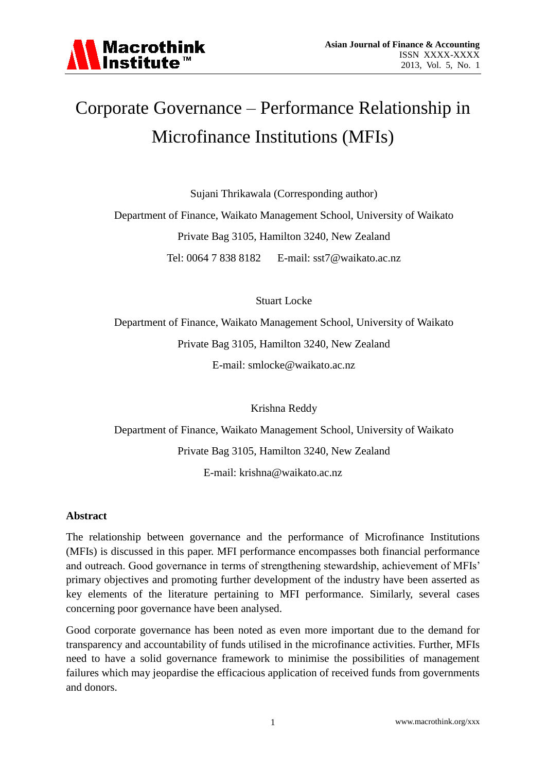

# Corporate Governance – Performance Relationship in Microfinance Institutions (MFIs)

Sujani Thrikawala (Corresponding author)

Department of Finance, Waikato Management School, University of Waikato Private Bag 3105, Hamilton 3240, New Zealand Tel: 0064 7 838 8182 E-mail: sst7@waikato.ac.nz

Stuart Locke

Department of Finance, Waikato Management School, University of Waikato Private Bag 3105, Hamilton 3240, New Zealand E-mail: smlocke@waikato.ac.nz

Krishna Reddy

Department of Finance, Waikato Management School, University of Waikato Private Bag 3105, Hamilton 3240, New Zealand E-mail: krishna@waikato.ac.nz

# **Abstract**

The relationship between governance and the performance of Microfinance Institutions (MFIs) is discussed in this paper. MFI performance encompasses both financial performance and outreach. Good governance in terms of strengthening stewardship, achievement of MFIs' primary objectives and promoting further development of the industry have been asserted as key elements of the literature pertaining to MFI performance. Similarly, several cases concerning poor governance have been analysed.

Good corporate governance has been noted as even more important due to the demand for transparency and accountability of funds utilised in the microfinance activities. Further, MFIs need to have a solid governance framework to minimise the possibilities of management failures which may jeopardise the efficacious application of received funds from governments and donors.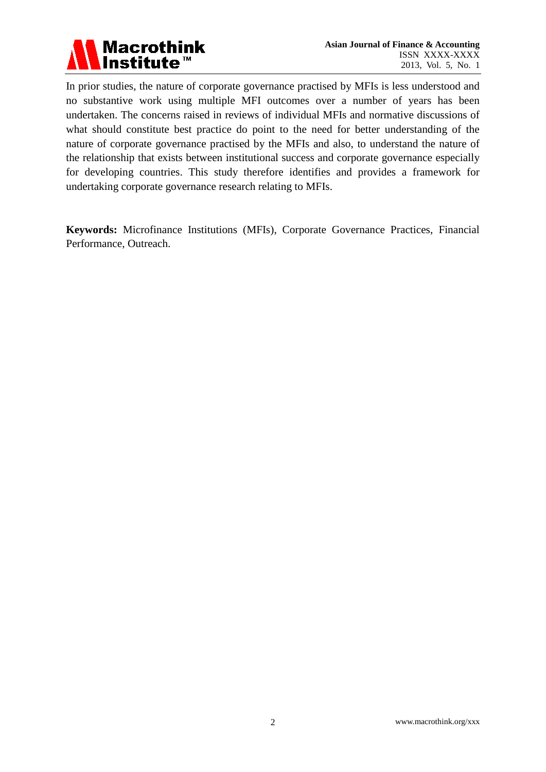

In prior studies, the nature of corporate governance practised by MFIs is less understood and no substantive work using multiple MFI outcomes over a number of years has been undertaken. The concerns raised in reviews of individual MFIs and normative discussions of what should constitute best practice do point to the need for better understanding of the nature of corporate governance practised by the MFIs and also, to understand the nature of the relationship that exists between institutional success and corporate governance especially for developing countries. This study therefore identifies and provides a framework for undertaking corporate governance research relating to MFIs.

**Keywords:** Microfinance Institutions (MFIs), Corporate Governance Practices, Financial Performance, Outreach.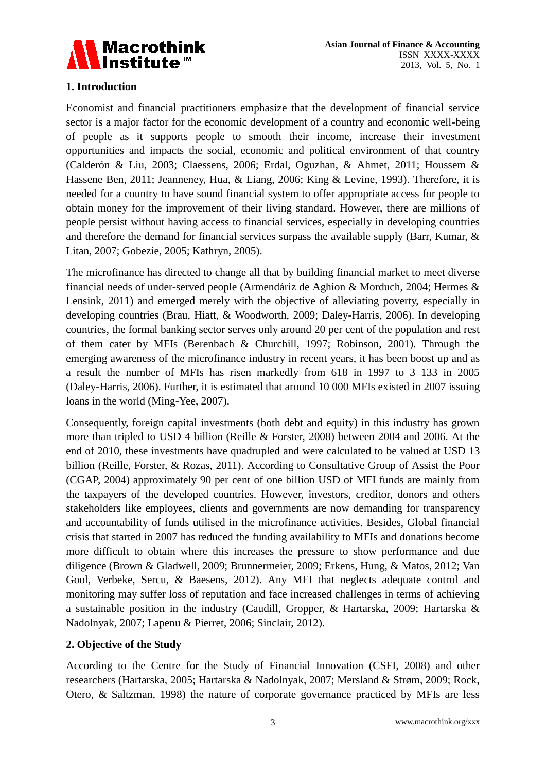

# **1. Introduction**

Economist and financial practitioners emphasize that the development of financial service sector is a major factor for the economic development of a country and economic well-being of people as it supports people to smooth their income, increase their investment opportunities and impacts the social, economic and political environment of that country (Calderón & Liu, 2003; Claessens, 2006; Erdal, Oguzhan, & Ahmet, 2011; Houssem & Hassene Ben, 2011; Jeanneney, Hua, & Liang, 2006; King & Levine, 1993). Therefore, it is needed for a country to have sound financial system to offer appropriate access for people to obtain money for the improvement of their living standard. However, there are millions of people persist without having access to financial services, especially in developing countries and therefore the demand for financial services surpass the available supply (Barr, Kumar, & Litan, 2007; Gobezie, 2005; Kathryn, 2005).

The microfinance has directed to change all that by building financial market to meet diverse financial needs of under-served people (Armendáriz de Aghion & Morduch, 2004; Hermes & Lensink, 2011) and emerged merely with the objective of alleviating poverty, especially in developing countries (Brau, Hiatt, & Woodworth, 2009; Daley-Harris, 2006). In developing countries, the formal banking sector serves only around 20 per cent of the population and rest of them cater by MFIs (Berenbach & Churchill, 1997; Robinson, 2001). Through the emerging awareness of the microfinance industry in recent years, it has been boost up and as a result the number of MFIs has risen markedly from 618 in 1997 to 3 133 in 2005 (Daley-Harris, 2006). Further, it is estimated that around 10 000 MFIs existed in 2007 issuing loans in the world (Ming-Yee, 2007).

Consequently, foreign capital investments (both debt and equity) in this industry has grown more than tripled to USD 4 billion (Reille & Forster, 2008) between 2004 and 2006. At the end of 2010, these investments have quadrupled and were calculated to be valued at USD 13 billion (Reille, Forster, & Rozas, 2011). According to Consultative Group of Assist the Poor (CGAP, 2004) approximately 90 per cent of one billion USD of MFI funds are mainly from the taxpayers of the developed countries. However, investors, creditor, donors and others stakeholders like employees, clients and governments are now demanding for transparency and accountability of funds utilised in the microfinance activities. Besides, Global financial crisis that started in 2007 has reduced the funding availability to MFIs and donations become more difficult to obtain where this increases the pressure to show performance and due diligence (Brown & Gladwell, 2009; Brunnermeier, 2009; Erkens, Hung, & Matos, 2012; Van Gool, Verbeke, Sercu, & Baesens, 2012). Any MFI that neglects adequate control and monitoring may suffer loss of reputation and face increased challenges in terms of achieving a sustainable position in the industry (Caudill, Gropper, & Hartarska, 2009; Hartarska & Nadolnyak, 2007; Lapenu & Pierret, 2006; Sinclair, 2012).

# **2. Objective of the Study**

According to the Centre for the Study of Financial Innovation (CSFI, 2008) and other researchers (Hartarska, 2005; Hartarska & Nadolnyak, 2007; Mersland & Strøm, 2009; Rock, Otero, & Saltzman, 1998) the nature of corporate governance practiced by MFIs are less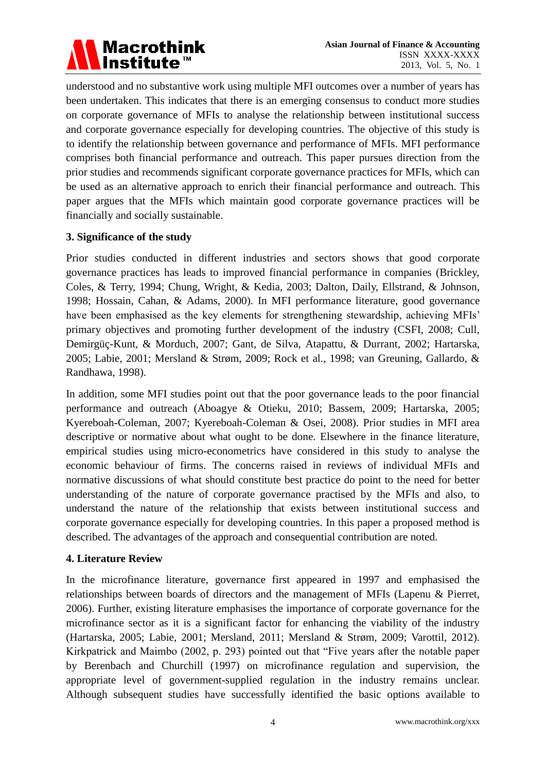

understood and no substantive work using multiple MFI outcomes over a number of years has been undertaken. This indicates that there is an emerging consensus to conduct more studies on corporate governance of MFIs to analyse the relationship between institutional success and corporate governance especially for developing countries. The objective of this study is to identify the relationship between governance and performance of MFIs. MFI performance comprises both financial performance and outreach. This paper pursues direction from the prior studies and recommends significant corporate governance practices for MFIs, which can be used as an alternative approach to enrich their financial performance and outreach. This paper argues that the MFIs which maintain good corporate governance practices will be financially and socially sustainable.

### **3. Significance of the study**

Prior studies conducted in different industries and sectors shows that good corporate governance practices has leads to improved financial performance in companies (Brickley, Coles, & Terry, 1994; Chung, Wright, & Kedia, 2003; Dalton, Daily, Ellstrand, & Johnson, 1998; Hossain, Cahan, & Adams, 2000). In MFI performance literature, good governance have been emphasised as the key elements for strengthening stewardship, achieving MFIs' primary objectives and promoting further development of the industry (CSFI, 2008; Cull, Demirgüç-Kunt, & Morduch, 2007; Gant, de Silva, Atapattu, & Durrant, 2002; Hartarska, 2005; Labie, 2001; Mersland & Strøm, 2009; Rock et al., 1998; van Greuning, Gallardo, & Randhawa, 1998).

In addition, some MFI studies point out that the poor governance leads to the poor financial performance and outreach (Aboagye & Otieku, 2010; Bassem, 2009; Hartarska, 2005; Kyereboah-Coleman, 2007; Kyereboah-Coleman & Osei, 2008). Prior studies in MFI area descriptive or normative about what ought to be done. Elsewhere in the finance literature, empirical studies using micro-econometrics have considered in this study to analyse the economic behaviour of firms. The concerns raised in reviews of individual MFIs and normative discussions of what should constitute best practice do point to the need for better understanding of the nature of corporate governance practised by the MFIs and also, to understand the nature of the relationship that exists between institutional success and corporate governance especially for developing countries. In this paper a proposed method is described. The advantages of the approach and consequential contribution are noted.

### **4. Literature Review**

In the microfinance literature, governance first appeared in 1997 and emphasised the relationships between boards of directors and the management of MFIs (Lapenu & Pierret, 2006). Further, existing literature emphasises the importance of corporate governance for the microfinance sector as it is a significant factor for enhancing the viability of the industry (Hartarska, 2005; Labie, 2001; Mersland, 2011; Mersland & Strøm, 2009; Varottil, 2012). Kirkpatrick and Maimbo (2002, p. 293) pointed out that "Five years after the notable paper by Berenbach and Churchill (1997) on microfinance regulation and supervision, the appropriate level of government-supplied regulation in the industry remains unclear. Although subsequent studies have successfully identified the basic options available to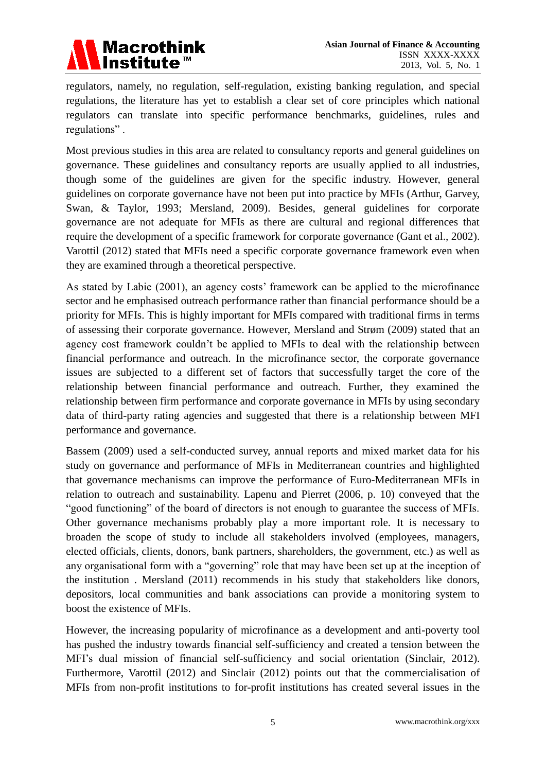

regulators, namely, no regulation, self-regulation, existing banking regulation, and special regulations, the literature has yet to establish a clear set of core principles which national regulators can translate into specific performance benchmarks, guidelines, rules and regulations" .

Most previous studies in this area are related to consultancy reports and general guidelines on governance. These guidelines and consultancy reports are usually applied to all industries, though some of the guidelines are given for the specific industry. However, general guidelines on corporate governance have not been put into practice by MFIs (Arthur, Garvey, Swan, & Taylor, 1993; Mersland, 2009). Besides, general guidelines for corporate governance are not adequate for MFIs as there are cultural and regional differences that require the development of a specific framework for corporate governance (Gant et al., 2002). Varottil (2012) stated that MFIs need a specific corporate governance framework even when they are examined through a theoretical perspective.

As stated by Labie (2001), an agency costs' framework can be applied to the microfinance sector and he emphasised outreach performance rather than financial performance should be a priority for MFIs. This is highly important for MFIs compared with traditional firms in terms of assessing their corporate governance. However, Mersland and Strøm (2009) stated that an agency cost framework couldn't be applied to MFIs to deal with the relationship between financial performance and outreach. In the microfinance sector, the corporate governance issues are subjected to a different set of factors that successfully target the core of the relationship between financial performance and outreach. Further, they examined the relationship between firm performance and corporate governance in MFIs by using secondary data of third-party rating agencies and suggested that there is a relationship between MFI performance and governance.

Bassem (2009) used a self-conducted survey, annual reports and mixed market data for his study on governance and performance of MFIs in Mediterranean countries and highlighted that governance mechanisms can improve the performance of Euro-Mediterranean MFIs in relation to outreach and sustainability. Lapenu and Pierret (2006, p. 10) conveyed that the "good functioning" of the board of directors is not enough to guarantee the success of MFIs. Other governance mechanisms probably play a more important role. It is necessary to broaden the scope of study to include all stakeholders involved (employees, managers, elected officials, clients, donors, bank partners, shareholders, the government, etc.) as well as any organisational form with a "governing" role that may have been set up at the inception of the institution . Mersland (2011) recommends in his study that stakeholders like donors, depositors, local communities and bank associations can provide a monitoring system to boost the existence of MFIs.

However, the increasing popularity of microfinance as a development and anti-poverty tool has pushed the industry towards financial self-sufficiency and created a tension between the MFI's dual mission of financial self-sufficiency and social orientation (Sinclair, 2012). Furthermore, Varottil (2012) and Sinclair (2012) points out that the commercialisation of MFIs from non-profit institutions to for-profit institutions has created several issues in the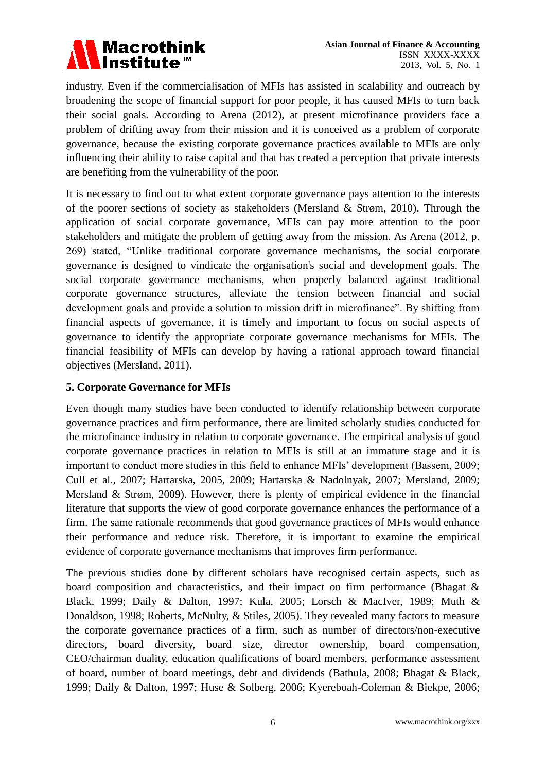

industry. Even if the commercialisation of MFIs has assisted in scalability and outreach by broadening the scope of financial support for poor people, it has caused MFIs to turn back their social goals. According to Arena (2012), at present microfinance providers face a problem of drifting away from their mission and it is conceived as a problem of corporate governance, because the existing corporate governance practices available to MFIs are only influencing their ability to raise capital and that has created a perception that private interests are benefiting from the vulnerability of the poor.

It is necessary to find out to what extent corporate governance pays attention to the interests of the poorer sections of society as stakeholders (Mersland & Strøm, 2010). Through the application of social corporate governance, MFIs can pay more attention to the poor stakeholders and mitigate the problem of getting away from the mission. As Arena (2012, p. 269) stated, "Unlike traditional corporate governance mechanisms, the social corporate governance is designed to vindicate the organisation's social and development goals. The social corporate governance mechanisms, when properly balanced against traditional corporate governance structures, alleviate the tension between financial and social development goals and provide a solution to mission drift in microfinance". By shifting from financial aspects of governance, it is timely and important to focus on social aspects of governance to identify the appropriate corporate governance mechanisms for MFIs. The financial feasibility of MFIs can develop by having a rational approach toward financial objectives (Mersland, 2011).

# **5. Corporate Governance for MFIs**

Even though many studies have been conducted to identify relationship between corporate governance practices and firm performance, there are limited scholarly studies conducted for the microfinance industry in relation to corporate governance. The empirical analysis of good corporate governance practices in relation to MFIs is still at an immature stage and it is important to conduct more studies in this field to enhance MFIs' development (Bassem, 2009; Cull et al., 2007; Hartarska, 2005, 2009; Hartarska & Nadolnyak, 2007; Mersland, 2009; Mersland & Strøm, 2009). However, there is plenty of empirical evidence in the financial literature that supports the view of good corporate governance enhances the performance of a firm. The same rationale recommends that good governance practices of MFIs would enhance their performance and reduce risk. Therefore, it is important to examine the empirical evidence of corporate governance mechanisms that improves firm performance.

The previous studies done by different scholars have recognised certain aspects, such as board composition and characteristics, and their impact on firm performance (Bhagat & Black, 1999; Daily & Dalton, 1997; Kula, 2005; Lorsch & MacIver, 1989; Muth & Donaldson, 1998; Roberts, McNulty, & Stiles, 2005). They revealed many factors to measure the corporate governance practices of a firm, such as number of directors/non-executive directors, board diversity, board size, director ownership, board compensation, CEO/chairman duality, education qualifications of board members, performance assessment of board, number of board meetings, debt and dividends (Bathula, 2008; Bhagat & Black, 1999; Daily & Dalton, 1997; Huse & Solberg, 2006; Kyereboah-Coleman & Biekpe, 2006;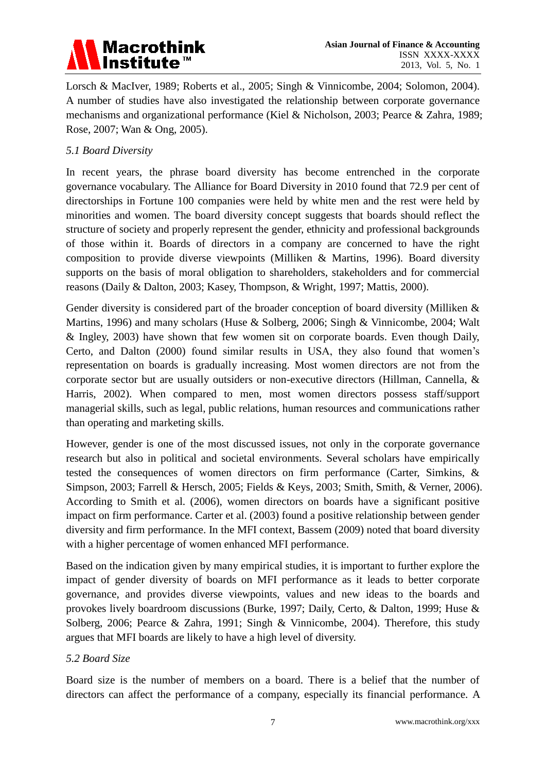

Lorsch & MacIver, 1989; Roberts et al., 2005; Singh & Vinnicombe, 2004; Solomon, 2004). A number of studies have also investigated the relationship between corporate governance mechanisms and organizational performance (Kiel & Nicholson, 2003; Pearce & Zahra, 1989; Rose, 2007; Wan & Ong, 2005).

### *5.1 Board Diversity*

In recent years, the phrase board diversity has become entrenched in the corporate governance vocabulary. The Alliance for Board Diversity in 2010 found that 72.9 per cent of directorships in Fortune 100 companies were held by white men and the rest were held by minorities and women. The board diversity concept suggests that boards should reflect the structure of society and properly represent the gender, ethnicity and professional backgrounds of those within it. Boards of directors in a company are concerned to have the right composition to provide diverse viewpoints (Milliken & Martins, 1996). Board diversity supports on the basis of moral obligation to shareholders, stakeholders and for commercial reasons (Daily & Dalton, 2003; Kasey, Thompson, & Wright, 1997; Mattis, 2000).

Gender diversity is considered part of the broader conception of board diversity (Milliken & Martins, 1996) and many scholars (Huse & Solberg, 2006; Singh & Vinnicombe, 2004; Walt & Ingley, 2003) have shown that few women sit on corporate boards. Even though Daily, Certo, and Dalton (2000) found similar results in USA, they also found that women's representation on boards is gradually increasing. Most women directors are not from the corporate sector but are usually outsiders or non-executive directors (Hillman, Cannella, & Harris, 2002). When compared to men, most women directors possess staff/support managerial skills, such as legal, public relations, human resources and communications rather than operating and marketing skills.

However, gender is one of the most discussed issues, not only in the corporate governance research but also in political and societal environments. Several scholars have empirically tested the consequences of women directors on firm performance (Carter, Simkins, & Simpson, 2003; Farrell & Hersch, 2005; Fields & Keys, 2003; Smith, Smith, & Verner, 2006). According to Smith et al. (2006), women directors on boards have a significant positive impact on firm performance. Carter et al. (2003) found a positive relationship between gender diversity and firm performance. In the MFI context, Bassem (2009) noted that board diversity with a higher percentage of women enhanced MFI performance.

Based on the indication given by many empirical studies, it is important to further explore the impact of gender diversity of boards on MFI performance as it leads to better corporate governance, and provides diverse viewpoints, values and new ideas to the boards and provokes lively boardroom discussions (Burke, 1997; Daily, Certo, & Dalton, 1999; Huse & Solberg, 2006; Pearce & Zahra, 1991; Singh & Vinnicombe, 2004). Therefore, this study argues that MFI boards are likely to have a high level of diversity.

### *5.2 Board Size*

Board size is the number of members on a board. There is a belief that the number of directors can affect the performance of a company, especially its financial performance. A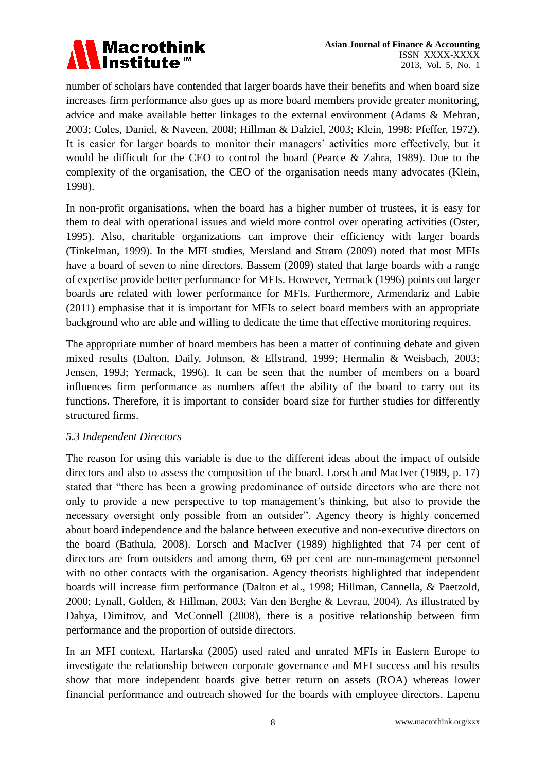

number of scholars have contended that larger boards have their benefits and when board size increases firm performance also goes up as more board members provide greater monitoring, advice and make available better linkages to the external environment (Adams & Mehran, 2003; Coles, Daniel, & Naveen, 2008; Hillman & Dalziel, 2003; Klein, 1998; Pfeffer, 1972). It is easier for larger boards to monitor their managers' activities more effectively, but it would be difficult for the CEO to control the board (Pearce & Zahra, 1989). Due to the complexity of the organisation, the CEO of the organisation needs many advocates (Klein, 1998).

In non-profit organisations, when the board has a higher number of trustees, it is easy for them to deal with operational issues and wield more control over operating activities (Oster, 1995). Also, charitable organizations can improve their efficiency with larger boards (Tinkelman, 1999). In the MFI studies, Mersland and Strøm (2009) noted that most MFIs have a board of seven to nine directors. Bassem (2009) stated that large boards with a range of expertise provide better performance for MFIs. However, Yermack (1996) points out larger boards are related with lower performance for MFIs. Furthermore, Armendariz and Labie (2011) emphasise that it is important for MFIs to select board members with an appropriate background who are able and willing to dedicate the time that effective monitoring requires.

The appropriate number of board members has been a matter of continuing debate and given mixed results (Dalton, Daily, Johnson, & Ellstrand, 1999; Hermalin & Weisbach, 2003; Jensen, 1993; Yermack, 1996). It can be seen that the number of members on a board influences firm performance as numbers affect the ability of the board to carry out its functions. Therefore, it is important to consider board size for further studies for differently structured firms.

### *5.3 Independent Directors*

The reason for using this variable is due to the different ideas about the impact of outside directors and also to assess the composition of the board. Lorsch and MacIver (1989, p. 17) stated that "there has been a growing predominance of outside directors who are there not only to provide a new perspective to top management's thinking, but also to provide the necessary oversight only possible from an outsider". Agency theory is highly concerned about board independence and the balance between executive and non-executive directors on the board (Bathula, 2008). Lorsch and MacIver (1989) highlighted that 74 per cent of directors are from outsiders and among them, 69 per cent are non-management personnel with no other contacts with the organisation. Agency theorists highlighted that independent boards will increase firm performance (Dalton et al., 1998; Hillman, Cannella, & Paetzold, 2000; Lynall, Golden, & Hillman, 2003; Van den Berghe & Levrau, 2004). As illustrated by Dahya, Dimitrov, and McConnell (2008), there is a positive relationship between firm performance and the proportion of outside directors.

In an MFI context, Hartarska (2005) used rated and unrated MFIs in Eastern Europe to investigate the relationship between corporate governance and MFI success and his results show that more independent boards give better return on assets (ROA) whereas lower financial performance and outreach showed for the boards with employee directors. Lapenu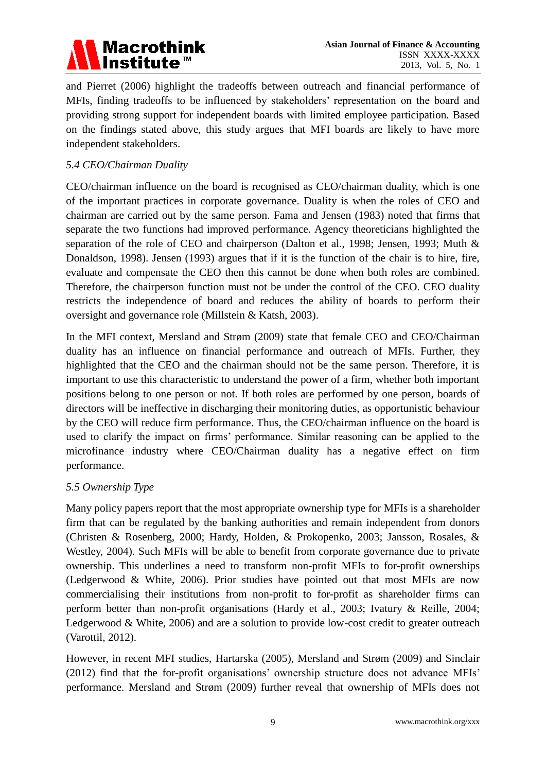# **Macrothink Institute™**

and Pierret (2006) highlight the tradeoffs between outreach and financial performance of MFIs, finding tradeoffs to be influenced by stakeholders' representation on the board and providing strong support for independent boards with limited employee participation. Based on the findings stated above, this study argues that MFI boards are likely to have more independent stakeholders.

# *5.4 CEO/Chairman Duality*

CEO/chairman influence on the board is recognised as CEO/chairman duality, which is one of the important practices in corporate governance. Duality is when the roles of CEO and chairman are carried out by the same person. Fama and Jensen (1983) noted that firms that separate the two functions had improved performance. Agency theoreticians highlighted the separation of the role of CEO and chairperson (Dalton et al., 1998; Jensen, 1993; Muth & Donaldson, 1998). Jensen (1993) argues that if it is the function of the chair is to hire, fire, evaluate and compensate the CEO then this cannot be done when both roles are combined. Therefore, the chairperson function must not be under the control of the CEO. CEO duality restricts the independence of board and reduces the ability of boards to perform their oversight and governance role (Millstein & Katsh, 2003).

In the MFI context, Mersland and Strøm (2009) state that female CEO and CEO/Chairman duality has an influence on financial performance and outreach of MFIs. Further, they highlighted that the CEO and the chairman should not be the same person. Therefore, it is important to use this characteristic to understand the power of a firm, whether both important positions belong to one person or not. If both roles are performed by one person, boards of directors will be ineffective in discharging their monitoring duties, as opportunistic behaviour by the CEO will reduce firm performance. Thus, the CEO/chairman influence on the board is used to clarify the impact on firms' performance. Similar reasoning can be applied to the microfinance industry where CEO/Chairman duality has a negative effect on firm performance.

# *5.5 Ownership Type*

Many policy papers report that the most appropriate ownership type for MFIs is a shareholder firm that can be regulated by the banking authorities and remain independent from donors (Christen & Rosenberg, 2000; Hardy, Holden, & Prokopenko, 2003; Jansson, Rosales, & Westley, 2004). Such MFIs will be able to benefit from corporate governance due to private ownership. This underlines a need to transform non-profit MFIs to for-profit ownerships (Ledgerwood & White, 2006). Prior studies have pointed out that most MFIs are now commercialising their institutions from non-profit to for-profit as shareholder firms can perform better than non-profit organisations (Hardy et al., 2003; Ivatury & Reille, 2004; Ledgerwood & White, 2006) and are a solution to provide low-cost credit to greater outreach (Varottil, 2012).

However, in recent MFI studies, Hartarska (2005), Mersland and Strøm (2009) and Sinclair (2012) find that the for-profit organisations' ownership structure does not advance MFIs' performance. Mersland and Strøm (2009) further reveal that ownership of MFIs does not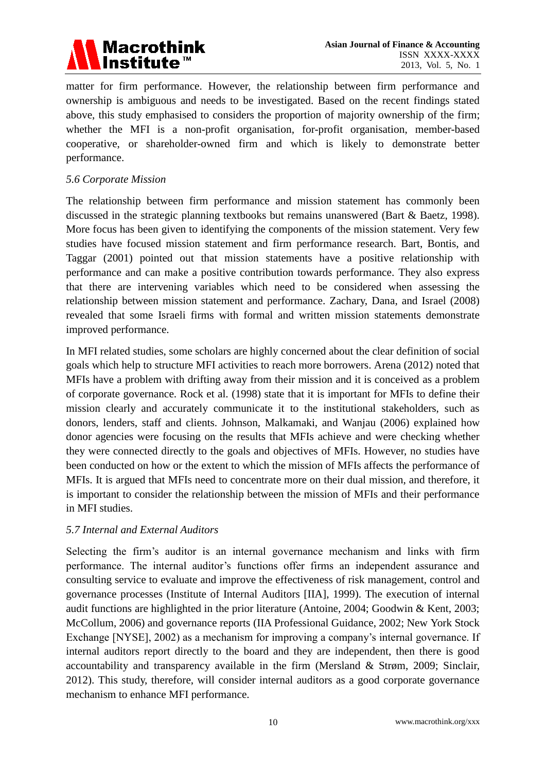

matter for firm performance. However, the relationship between firm performance and ownership is ambiguous and needs to be investigated. Based on the recent findings stated above, this study emphasised to considers the proportion of majority ownership of the firm; whether the MFI is a non-profit organisation, for-profit organisation, member-based cooperative, or shareholder-owned firm and which is likely to demonstrate better performance.

### *5.6 Corporate Mission*

The relationship between firm performance and mission statement has commonly been discussed in the strategic planning textbooks but remains unanswered (Bart & Baetz, 1998). More focus has been given to identifying the components of the mission statement. Very few studies have focused mission statement and firm performance research. Bart, Bontis, and Taggar (2001) pointed out that mission statements have a positive relationship with performance and can make a positive contribution towards performance. They also express that there are intervening variables which need to be considered when assessing the relationship between mission statement and performance. Zachary, Dana, and Israel (2008) revealed that some Israeli firms with formal and written mission statements demonstrate improved performance.

In MFI related studies, some scholars are highly concerned about the clear definition of social goals which help to structure MFI activities to reach more borrowers. Arena (2012) noted that MFIs have a problem with drifting away from their mission and it is conceived as a problem of corporate governance. Rock et al. (1998) state that it is important for MFIs to define their mission clearly and accurately communicate it to the institutional stakeholders, such as donors, lenders, staff and clients. Johnson, Malkamaki, and Wanjau (2006) explained how donor agencies were focusing on the results that MFIs achieve and were checking whether they were connected directly to the goals and objectives of MFIs. However, no studies have been conducted on how or the extent to which the mission of MFIs affects the performance of MFIs. It is argued that MFIs need to concentrate more on their dual mission, and therefore, it is important to consider the relationship between the mission of MFIs and their performance in MFI studies.

# *5.7 Internal and External Auditors*

Selecting the firm's auditor is an internal governance mechanism and links with firm performance. The internal auditor's functions offer firms an independent assurance and consulting service to evaluate and improve the effectiveness of risk management, control and governance processes (Institute of Internal Auditors [IIA], 1999). The execution of internal audit functions are highlighted in the prior literature (Antoine, 2004; Goodwin & Kent, 2003; McCollum, 2006) and governance reports (IIA Professional Guidance, 2002; New York Stock Exchange [NYSE], 2002) as a mechanism for improving a company's internal governance. If internal auditors report directly to the board and they are independent, then there is good accountability and transparency available in the firm (Mersland & Strøm, 2009; Sinclair, 2012). This study, therefore, will consider internal auditors as a good corporate governance mechanism to enhance MFI performance.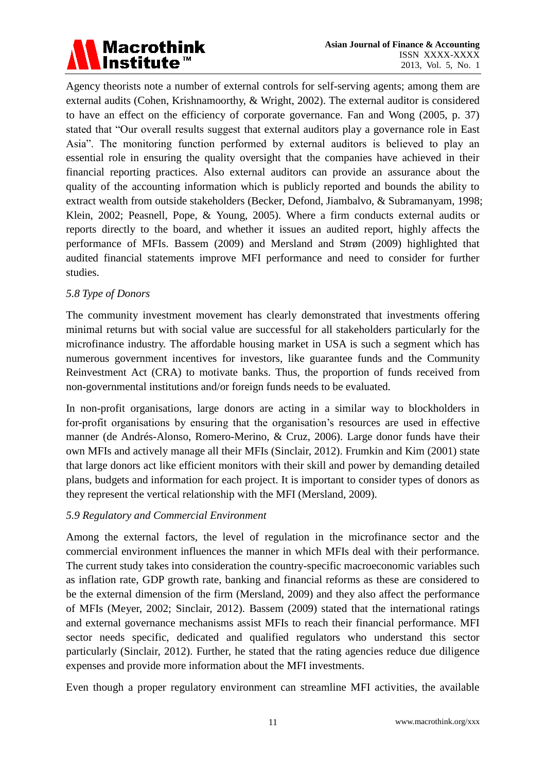

Agency theorists note a number of external controls for self-serving agents; among them are external audits (Cohen, Krishnamoorthy, & Wright, 2002). The external auditor is considered to have an effect on the efficiency of corporate governance. Fan and Wong (2005, p. 37) stated that "Our overall results suggest that external auditors play a governance role in East Asia". The monitoring function performed by external auditors is believed to play an essential role in ensuring the quality oversight that the companies have achieved in their financial reporting practices. Also external auditors can provide an assurance about the quality of the accounting information which is publicly reported and bounds the ability to extract wealth from outside stakeholders (Becker, Defond, Jiambalvo, & Subramanyam, 1998; Klein, 2002; Peasnell, Pope, & Young, 2005). Where a firm conducts external audits or reports directly to the board, and whether it issues an audited report, highly affects the performance of MFIs. Bassem (2009) and Mersland and Strøm (2009) highlighted that audited financial statements improve MFI performance and need to consider for further studies.

### *5.8 Type of Donors*

The community investment movement has clearly demonstrated that investments offering minimal returns but with social value are successful for all stakeholders particularly for the microfinance industry. The affordable housing market in USA is such a segment which has numerous government incentives for investors, like guarantee funds and the Community Reinvestment Act (CRA) to motivate banks. Thus, the proportion of funds received from non-governmental institutions and/or foreign funds needs to be evaluated.

In non-profit organisations, large donors are acting in a similar way to blockholders in for-profit organisations by ensuring that the organisation's resources are used in effective manner (de Andrés-Alonso, Romero-Merino, & Cruz, 2006). Large donor funds have their own MFIs and actively manage all their MFIs (Sinclair, 2012). Frumkin and Kim (2001) state that large donors act like efficient monitors with their skill and power by demanding detailed plans, budgets and information for each project. It is important to consider types of donors as they represent the vertical relationship with the MFI (Mersland, 2009).

### *5.9 Regulatory and Commercial Environment*

Among the external factors, the level of regulation in the microfinance sector and the commercial environment influences the manner in which MFIs deal with their performance. The current study takes into consideration the country-specific macroeconomic variables such as inflation rate, GDP growth rate, banking and financial reforms as these are considered to be the external dimension of the firm (Mersland, 2009) and they also affect the performance of MFIs (Meyer, 2002; Sinclair, 2012). Bassem (2009) stated that the international ratings and external governance mechanisms assist MFIs to reach their financial performance. MFI sector needs specific, dedicated and qualified regulators who understand this sector particularly (Sinclair, 2012). Further, he stated that the rating agencies reduce due diligence expenses and provide more information about the MFI investments.

Even though a proper regulatory environment can streamline MFI activities, the available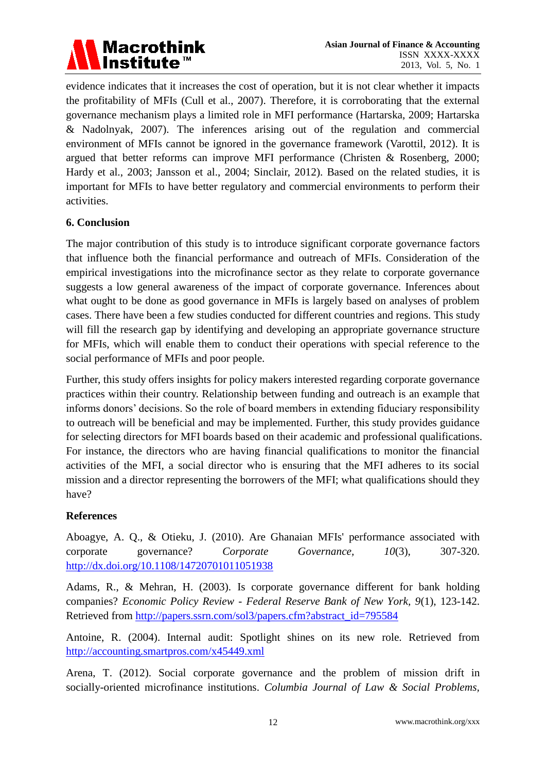

evidence indicates that it increases the cost of operation, but it is not clear whether it impacts the profitability of MFIs (Cull et al., 2007). Therefore, it is corroborating that the external governance mechanism plays a limited role in MFI performance (Hartarska, 2009; Hartarska & Nadolnyak, 2007). The inferences arising out of the regulation and commercial environment of MFIs cannot be ignored in the governance framework (Varottil, 2012). It is argued that better reforms can improve MFI performance (Christen & Rosenberg, 2000; Hardy et al., 2003; Jansson et al., 2004; Sinclair, 2012). Based on the related studies, it is important for MFIs to have better regulatory and commercial environments to perform their activities.

# **6. Conclusion**

The major contribution of this study is to introduce significant corporate governance factors that influence both the financial performance and outreach of MFIs. Consideration of the empirical investigations into the microfinance sector as they relate to corporate governance suggests a low general awareness of the impact of corporate governance. Inferences about what ought to be done as good governance in MFIs is largely based on analyses of problem cases. There have been a few studies conducted for different countries and regions. This study will fill the research gap by identifying and developing an appropriate governance structure for MFIs, which will enable them to conduct their operations with special reference to the social performance of MFIs and poor people.

Further, this study offers insights for policy makers interested regarding corporate governance practices within their country. Relationship between funding and outreach is an example that informs donors' decisions. So the role of board members in extending fiduciary responsibility to outreach will be beneficial and may be implemented. Further, this study provides guidance for selecting directors for MFI boards based on their academic and professional qualifications. For instance, the directors who are having financial qualifications to monitor the financial activities of the MFI, a social director who is ensuring that the MFI adheres to its social mission and a director representing the borrowers of the MFI; what qualifications should they have?

# **References**

Aboagye, A. Q., & Otieku, J. (2010). Are Ghanaian MFIs' performance associated with corporate governance? *Corporate Governance, 10*(3), 307-320. <http://dx.doi.org/10.1108/14720701011051938>

Adams, R., & Mehran, H. (2003). Is corporate governance different for bank holding companies? *Economic Policy Review - Federal Reserve Bank of New York, 9*(1), 123-142. Retrieved from [http://papers.ssrn.com/sol3/papers.cfm?abstract\\_id=795584](http://papers.ssrn.com/sol3/papers.cfm?abstract_id=795584)

Antoine, R. (2004). Internal audit: Spotlight shines on its new role. Retrieved from <http://accounting.smartpros.com/x45449.xml>

Arena, T. (2012). Social corporate governance and the problem of mission drift in socially-oriented microfinance institutions. *Columbia Journal of Law & Social Problems,*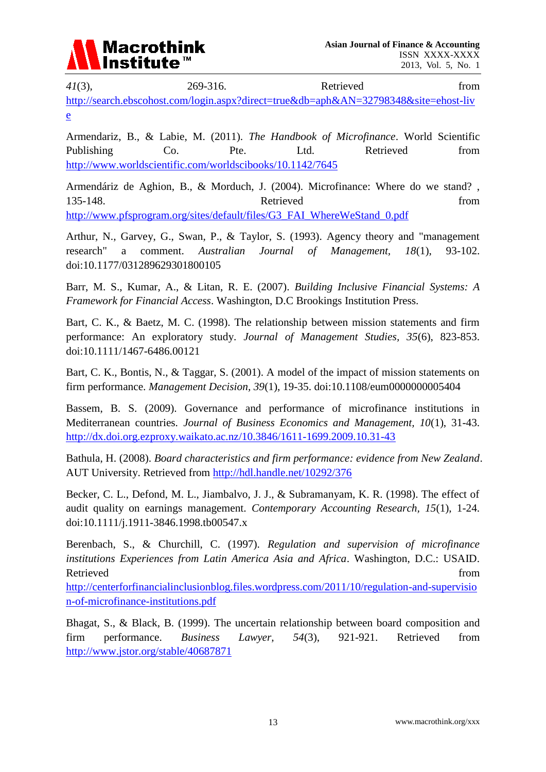

*41*(3), 269-316. Retrieved from [http://search.ebscohost.com/login.aspx?direct=true&db=aph&AN=32798348&site=ehost-liv](http://search.ebscohost.com/login.aspx?direct=true&db=aph&AN=32798348&site=ehost-live) [e](http://search.ebscohost.com/login.aspx?direct=true&db=aph&AN=32798348&site=ehost-live)

Armendariz, B., & Labie, M. (2011). *The Handbook of Microfinance*. World Scientific Publishing Co. Pte. Ltd. Retrieved from <http://www.worldscientific.com/worldscibooks/10.1142/7645>

Armendáriz de Aghion, B., & Morduch, J. (2004). Microfinance: Where do we stand? , 135-148. **Retrieved** from [http://www.pfsprogram.org/sites/default/files/G3\\_FAI\\_WhereWeStand\\_0.pdf](http://www.pfsprogram.org/sites/default/files/G3_FAI_WhereWeStand_0.pdf)

Arthur, N., Garvey, G., Swan, P., & Taylor, S. (1993). Agency theory and "management research" a comment. *Australian Journal of Management, 18*(1), 93-102. doi:10.1177/031289629301800105

Barr, M. S., Kumar, A., & Litan, R. E. (2007). *Building Inclusive Financial Systems: A Framework for Financial Access*. Washington, D.C Brookings Institution Press.

Bart, C. K., & Baetz, M. C. (1998). The relationship between mission statements and firm performance: An exploratory study. *Journal of Management Studies, 35*(6), 823-853. doi:10.1111/1467-6486.00121

Bart, C. K., Bontis, N., & Taggar, S. (2001). A model of the impact of mission statements on firm performance. *Management Decision, 39*(1), 19-35. doi:10.1108/eum0000000005404

Bassem, B. S. (2009). Governance and performance of microfinance institutions in Mediterranean countries. *Journal of Business Economics and Management, 10*(1), 31-43. <http://dx.doi.org.ezproxy.waikato.ac.nz/10.3846/1611-1699.2009.10.31-43>

Bathula, H. (2008). *Board characteristics and firm performance: evidence from New Zealand*. AUT University. Retrieved from<http://hdl.handle.net/10292/376>

Becker, C. L., Defond, M. L., Jiambalvo, J. J., & Subramanyam, K. R. (1998). The effect of audit quality on earnings management. *Contemporary Accounting Research, 15*(1), 1-24. doi:10.1111/j.1911-3846.1998.tb00547.x

Berenbach, S., & Churchill, C. (1997). *Regulation and supervision of microfinance institutions Experiences from Latin America Asia and Africa*. Washington, D.C.: USAID. Retrieved from the state of the state of the state of the state of the state of the state of the state of the state of the state of the state of the state of the state of the state of the state of the state of the state of

[http://centerforfinancialinclusionblog.files.wordpress.com/2011/10/regulation-and-supervisio](http://centerforfinancialinclusionblog.files.wordpress.com/2011/10/regulation-and-supervision-of-microfinance-institutions.pdf) [n-of-microfinance-institutions.pdf](http://centerforfinancialinclusionblog.files.wordpress.com/2011/10/regulation-and-supervision-of-microfinance-institutions.pdf)

Bhagat, S., & Black, B. (1999). The uncertain relationship between board composition and firm performance. *Business Lawyer, 54*(3), 921-921. Retrieved from <http://www.jstor.org/stable/40687871>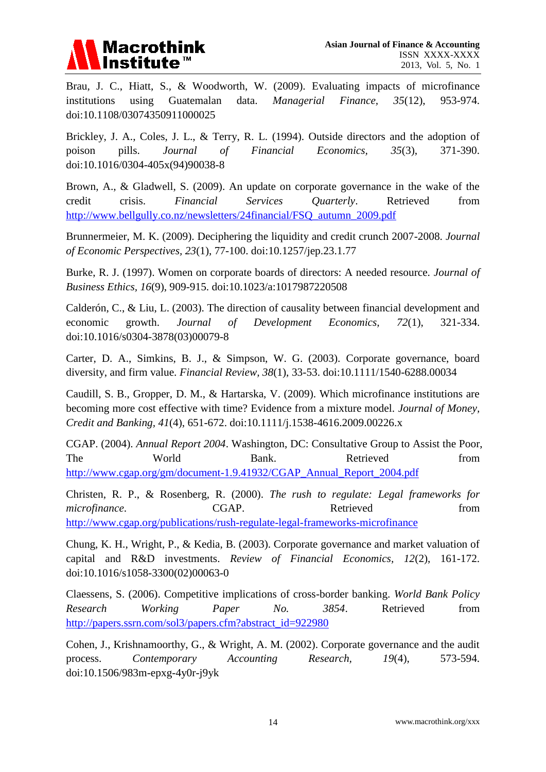

Brau, J. C., Hiatt, S., & Woodworth, W. (2009). Evaluating impacts of microfinance institutions using Guatemalan data. *Managerial Finance, 35*(12), 953-974. doi:10.1108/03074350911000025

Brickley, J. A., Coles, J. L., & Terry, R. L. (1994). Outside directors and the adoption of poison pills. *Journal of Financial Economics, 35*(3), 371-390. doi:10.1016/0304-405x(94)90038-8

Brown, A., & Gladwell, S. (2009). An update on corporate governance in the wake of the credit crisis. *Financial Services Quarterly*. Retrieved from [http://www.bellgully.co.nz/newsletters/24financial/FSQ\\_autumn\\_2009.pdf](http://www.bellgully.co.nz/newsletters/24financial/FSQ_autumn_2009.pdf)

Brunnermeier, M. K. (2009). Deciphering the liquidity and credit crunch 2007-2008. *Journal of Economic Perspectives, 23*(1), 77-100. doi:10.1257/jep.23.1.77

Burke, R. J. (1997). Women on corporate boards of directors: A needed resource. *Journal of Business Ethics, 16*(9), 909-915. doi:10.1023/a:1017987220508

Calderón, C., & Liu, L. (2003). The direction of causality between financial development and economic growth. *Journal of Development Economics, 72*(1), 321-334. doi:10.1016/s0304-3878(03)00079-8

Carter, D. A., Simkins, B. J., & Simpson, W. G. (2003). Corporate governance, board diversity, and firm value. *Financial Review, 38*(1), 33-53. doi:10.1111/1540-6288.00034

Caudill, S. B., Gropper, D. M., & Hartarska, V. (2009). Which microfinance institutions are becoming more cost effective with time? Evidence from a mixture model. *Journal of Money, Credit and Banking, 41*(4), 651-672. doi:10.1111/j.1538-4616.2009.00226.x

CGAP. (2004). *Annual Report 2004*. Washington, DC: Consultative Group to Assist the Poor, The World Bank. Retrieved from [http://www.cgap.org/gm/document-1.9.41932/CGAP\\_Annual\\_Report\\_2004.pdf](http://www.cgap.org/gm/document-1.9.41932/CGAP_Annual_Report_2004.pdf)

Christen, R. P., & Rosenberg, R. (2000). *The rush to regulate: Legal frameworks for microfinance*. CGAP. Retrieved from <http://www.cgap.org/publications/rush-regulate-legal-frameworks-microfinance>

Chung, K. H., Wright, P., & Kedia, B. (2003). Corporate governance and market valuation of capital and R&D investments. *Review of Financial Economics, 12*(2), 161-172. doi:10.1016/s1058-3300(02)00063-0

Claessens, S. (2006). Competitive implications of cross-border banking. *World Bank Policy Research Working Paper No. 3854*. Retrieved from [http://papers.ssrn.com/sol3/papers.cfm?abstract\\_id=922980](http://papers.ssrn.com/sol3/papers.cfm?abstract_id=922980)

Cohen, J., Krishnamoorthy, G., & Wright, A. M. (2002). Corporate governance and the audit process. *Contemporary Accounting Research, 19*(4), 573-594. doi:10.1506/983m-epxg-4y0r-j9yk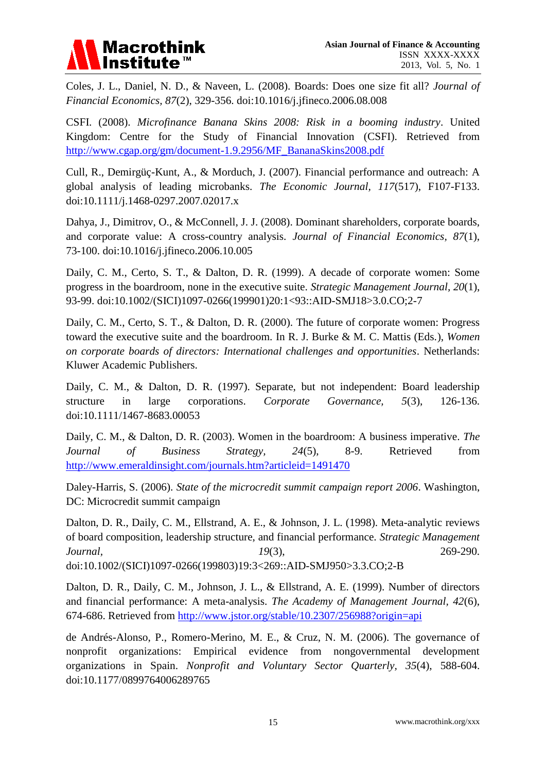

Coles, J. L., Daniel, N. D., & Naveen, L. (2008). Boards: Does one size fit all? *Journal of Financial Economics, 87*(2), 329-356. doi:10.1016/j.jfineco.2006.08.008

CSFI. (2008). *Microfinance Banana Skins 2008: Risk in a booming industry*. United Kingdom: Centre for the Study of Financial Innovation (CSFI). Retrieved from [http://www.cgap.org/gm/document-1.9.2956/MF\\_BananaSkins2008.pdf](http://www.cgap.org/gm/document-1.9.2956/MF_BananaSkins2008.pdf)

Cull, R., Demirgüç-Kunt, A., & Morduch, J. (2007). Financial performance and outreach: A global analysis of leading microbanks. *The Economic Journal, 117*(517), F107-F133. doi:10.1111/j.1468-0297.2007.02017.x

Dahya, J., Dimitrov, O., & McConnell, J. J. (2008). Dominant shareholders, corporate boards, and corporate value: A cross-country analysis. *Journal of Financial Economics, 87*(1), 73-100. doi:10.1016/j.jfineco.2006.10.005

Daily, C. M., Certo, S. T., & Dalton, D. R. (1999). A decade of corporate women: Some progress in the boardroom, none in the executive suite. *Strategic Management Journal, 20*(1), 93-99. doi:10.1002/(SICI)1097-0266(199901)20:1<93::AID-SMJ18>3.0.CO;2-7

Daily, C. M., Certo, S. T., & Dalton, D. R. (2000). The future of corporate women: Progress toward the executive suite and the boardroom. In R. J. Burke & M. C. Mattis (Eds.), *Women on corporate boards of directors: International challenges and opportunities*. Netherlands: Kluwer Academic Publishers.

Daily, C. M., & Dalton, D. R. (1997). Separate, but not independent: Board leadership structure in large corporations. *Corporate Governance, 5*(3), 126-136. doi:10.1111/1467-8683.00053

Daily, C. M., & Dalton, D. R. (2003). Women in the boardroom: A business imperative. *The Journal of Business Strategy, 24*(5), 8-9. Retrieved from <http://www.emeraldinsight.com/journals.htm?articleid=1491470>

Daley-Harris, S. (2006). *State of the microcredit summit campaign report 2006*. Washington, DC: Microcredit summit campaign

Dalton, D. R., Daily, C. M., Ellstrand, A. E., & Johnson, J. L. (1998). Meta-analytic reviews of board composition, leadership structure, and financial performance. *Strategic Management Journal, 19*(3), 269-290. doi:10.1002/(SICI)1097-0266(199803)19:3<269::AID-SMJ950>3.3.CO;2-B

Dalton, D. R., Daily, C. M., Johnson, J. L., & Ellstrand, A. E. (1999). Number of directors and financial performance: A meta-analysis. *The Academy of Management Journal, 42*(6), 674-686. Retrieved from<http://www.jstor.org/stable/10.2307/256988?origin=api>

de Andrés-Alonso, P., Romero-Merino, M. E., & Cruz, N. M. (2006). The governance of nonprofit organizations: Empirical evidence from nongovernmental development organizations in Spain. *Nonprofit and Voluntary Sector Quarterly, 35*(4), 588-604. doi:10.1177/0899764006289765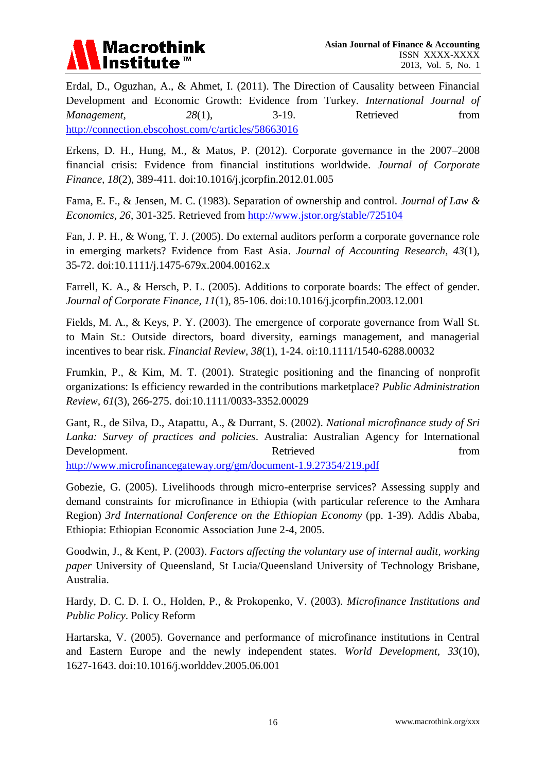

Erdal, D., Oguzhan, A., & Ahmet, I. (2011). The Direction of Causality between Financial Development and Economic Growth: Evidence from Turkey. *International Journal of Management,* 28(1), 3-19. Retrieved from <http://connection.ebscohost.com/c/articles/58663016>

Erkens, D. H., Hung, M., & Matos, P. (2012). Corporate governance in the 2007–2008 financial crisis: Evidence from financial institutions worldwide. *Journal of Corporate Finance, 18*(2), 389-411. doi:10.1016/j.jcorpfin.2012.01.005

Fama, E. F., & Jensen, M. C. (1983). Separation of ownership and control. *Journal of Law & Economics, 26*, 301-325. Retrieved from<http://www.jstor.org/stable/725104>

Fan, J. P. H., & Wong, T. J. (2005). Do external auditors perform a corporate governance role in emerging markets? Evidence from East Asia. *Journal of Accounting Research, 43*(1), 35-72. doi:10.1111/j.1475-679x.2004.00162.x

Farrell, K. A., & Hersch, P. L. (2005). Additions to corporate boards: The effect of gender. *Journal of Corporate Finance, 11*(1), 85-106. doi:10.1016/j.jcorpfin.2003.12.001

Fields, M. A., & Keys, P. Y. (2003). The emergence of corporate governance from Wall St. to Main St.: Outside directors, board diversity, earnings management, and managerial incentives to bear risk. *Financial Review, 38*(1), 1-24. oi:10.1111/1540-6288.00032

Frumkin, P., & Kim, M. T. (2001). Strategic positioning and the financing of nonprofit organizations: Is efficiency rewarded in the contributions marketplace? *Public Administration Review, 61*(3), 266-275. doi:10.1111/0033-3352.00029

Gant, R., de Silva, D., Atapattu, A., & Durrant, S. (2002). *National microfinance study of Sri Lanka: Survey of practices and policies*. Australia: Australian Agency for International Development. Retrieved from  $\alpha$ <http://www.microfinancegateway.org/gm/document-1.9.27354/219.pdf>

Gobezie, G. (2005). Livelihoods through micro-enterprise services? Assessing supply and demand constraints for microfinance in Ethiopia (with particular reference to the Amhara Region) *3rd International Conference on the Ethiopian Economy* (pp. 1-39). Addis Ababa, Ethiopia: Ethiopian Economic Association June 2-4, 2005.

Goodwin, J., & Kent, P. (2003). *Factors affecting the voluntary use of internal audit, working paper* University of Queensland, St Lucia/Queensland University of Technology Brisbane, Australia.

Hardy, D. C. D. I. O., Holden, P., & Prokopenko, V. (2003). *Microfinance Institutions and Public Policy*. Policy Reform

Hartarska, V. (2005). Governance and performance of microfinance institutions in Central and Eastern Europe and the newly independent states. *World Development, 33*(10), 1627-1643. doi:10.1016/j.worlddev.2005.06.001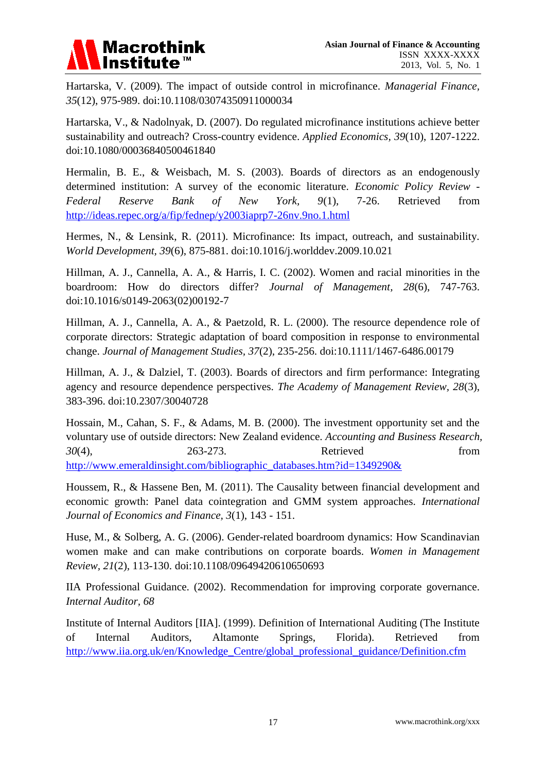

Hartarska, V. (2009). The impact of outside control in microfinance. *Managerial Finance, 35*(12), 975-989. doi:10.1108/03074350911000034

Hartarska, V., & Nadolnyak, D. (2007). Do regulated microfinance institutions achieve better sustainability and outreach? Cross-country evidence. *Applied Economics, 39*(10), 1207-1222. doi:10.1080/00036840500461840

Hermalin, B. E., & Weisbach, M. S. (2003). Boards of directors as an endogenously determined institution: A survey of the economic literature. *Economic Policy Review - Federal Reserve Bank of New York, 9*(1), 7-26. Retrieved from <http://ideas.repec.org/a/fip/fednep/y2003iaprp7-26nv.9no.1.html>

Hermes, N., & Lensink, R. (2011). Microfinance: Its impact, outreach, and sustainability. *World Development, 39*(6), 875-881. doi:10.1016/j.worlddev.2009.10.021

Hillman, A. J., Cannella, A. A., & Harris, I. C. (2002). Women and racial minorities in the boardroom: How do directors differ? *Journal of Management, 28*(6), 747-763. doi:10.1016/s0149-2063(02)00192-7

Hillman, A. J., Cannella, A. A., & Paetzold, R. L. (2000). The resource dependence role of corporate directors: Strategic adaptation of board composition in response to environmental change. *Journal of Management Studies, 37*(2), 235-256. doi:10.1111/1467-6486.00179

Hillman, A. J., & Dalziel, T. (2003). Boards of directors and firm performance: Integrating agency and resource dependence perspectives. *The Academy of Management Review, 28*(3), 383-396. doi:10.2307/30040728

Hossain, M., Cahan, S. F., & Adams, M. B. (2000). The investment opportunity set and the voluntary use of outside directors: New Zealand evidence. *Accounting and Business Research, 30*(4), 263-273. Retrieved from [http://www.emeraldinsight.com/bibliographic\\_databases.htm?id=1349290&](http://www.emeraldinsight.com/bibliographic_databases.htm?id=1349290&)

Houssem, R., & Hassene Ben, M. (2011). The Causality between financial development and economic growth: Panel data cointegration and GMM system approaches. *International Journal of Economics and Finance, 3*(1), 143 - 151.

Huse, M., & Solberg, A. G. (2006). Gender-related boardroom dynamics: How Scandinavian women make and can make contributions on corporate boards. *Women in Management Review, 21*(2), 113-130. doi:10.1108/09649420610650693

IIA Professional Guidance. (2002). Recommendation for improving corporate governance. *Internal Auditor, 68*

Institute of Internal Auditors [IIA]. (1999). Definition of International Auditing (The Institute of Internal Auditors, Altamonte Springs, Florida). Retrieved from [http://www.iia.org.uk/en/Knowledge\\_Centre/global\\_professional\\_guidance/Definition.cfm](http://www.iia.org.uk/en/Knowledge_Centre/global_professional_guidance/Definition.cfm)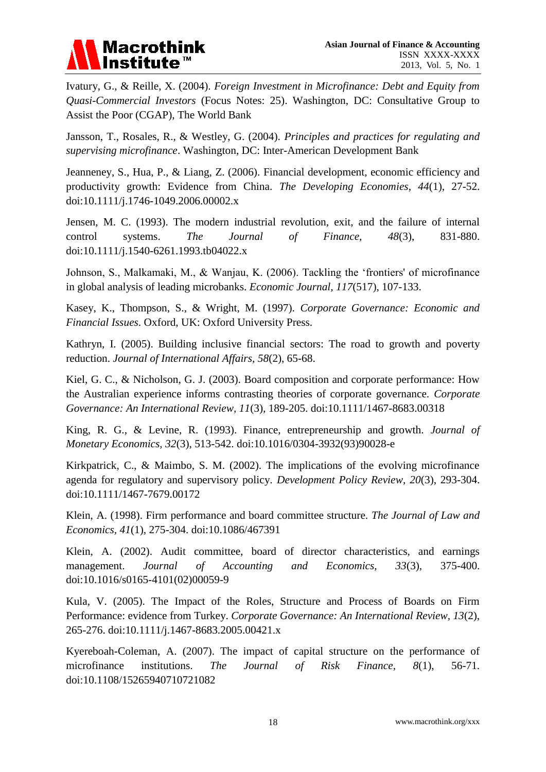

Ivatury, G., & Reille, X. (2004). *Foreign Investment in Microfinance: Debt and Equity from Quasi-Commercial Investors* (Focus Notes: 25). Washington, DC: Consultative Group to Assist the Poor (CGAP), The World Bank

Jansson, T., Rosales, R., & Westley, G. (2004). *Principles and practices for regulating and supervising microfinance*. Washington, DC: Inter-American Development Bank

Jeanneney, S., Hua, P., & Liang, Z. (2006). Financial development, economic efficiency and productivity growth: Evidence from China. *The Developing Economies, 44*(1), 27-52. doi:10.1111/j.1746-1049.2006.00002.x

Jensen, M. C. (1993). The modern industrial revolution, exit, and the failure of internal control systems. *The Journal of Finance, 48*(3), 831-880. doi:10.1111/j.1540-6261.1993.tb04022.x

Johnson, S., Malkamaki, M., & Wanjau, K. (2006). Tackling the 'frontiers' of microfinance in global analysis of leading microbanks. *Economic Journal, 117*(517), 107-133.

Kasey, K., Thompson, S., & Wright, M. (1997). *Corporate Governance: Economic and Financial Issues*. Oxford, UK: Oxford University Press.

Kathryn, I. (2005). Building inclusive financial sectors: The road to growth and poverty reduction. *Journal of International Affairs, 58*(2), 65-68.

Kiel, G. C., & Nicholson, G. J. (2003). Board composition and corporate performance: How the Australian experience informs contrasting theories of corporate governance. *Corporate Governance: An International Review, 11*(3), 189-205. doi:10.1111/1467-8683.00318

King, R. G., & Levine, R. (1993). Finance, entrepreneurship and growth. *Journal of Monetary Economics, 32*(3), 513-542. doi:10.1016/0304-3932(93)90028-e

Kirkpatrick, C., & Maimbo, S. M. (2002). The implications of the evolving microfinance agenda for regulatory and supervisory policy. *Development Policy Review, 20*(3), 293-304. doi:10.1111/1467-7679.00172

Klein, A. (1998). Firm performance and board committee structure. *The Journal of Law and Economics, 41*(1), 275-304. doi:10.1086/467391

Klein, A. (2002). Audit committee, board of director characteristics, and earnings management. *Journal of Accounting and Economics, 33*(3), 375-400. doi:10.1016/s0165-4101(02)00059-9

Kula, V. (2005). The Impact of the Roles, Structure and Process of Boards on Firm Performance: evidence from Turkey. *Corporate Governance: An International Review, 13*(2), 265-276. doi:10.1111/j.1467-8683.2005.00421.x

Kyereboah-Coleman, A. (2007). The impact of capital structure on the performance of microfinance institutions. *The Journal of Risk Finance, 8*(1), 56-71. doi:10.1108/15265940710721082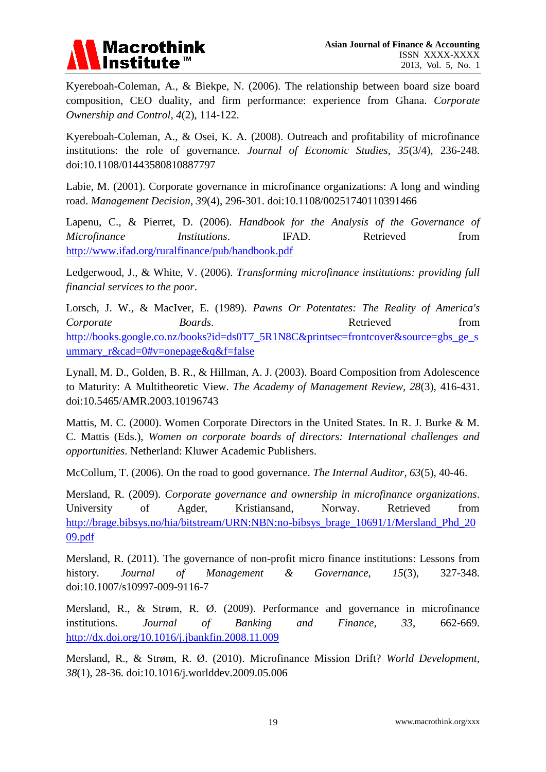

Kyereboah-Coleman, A., & Biekpe, N. (2006). The relationship between board size board composition, CEO duality, and firm performance: experience from Ghana. *Corporate Ownership and Control, 4*(2), 114-122.

Kyereboah-Coleman, A., & Osei, K. A. (2008). Outreach and profitability of microfinance institutions: the role of governance. *Journal of Economic Studies, 35*(3/4), 236-248. doi:10.1108/01443580810887797

Labie, M. (2001). Corporate governance in microfinance organizations: A long and winding road. *Management Decision, 39*(4), 296-301. doi[:10.1108/00251740110391466](http://dx.doi.org/10.1108/00251740110391466)

Lapenu, C., & Pierret, D. (2006). *Handbook for the Analysis of the Governance of Microfinance Institutions*. IFAD. Retrieved from <http://www.ifad.org/ruralfinance/pub/handbook.pdf>

Ledgerwood, J., & White, V. (2006). *Transforming microfinance institutions: providing full financial services to the poor*.

Lorsch, J. W., & MacIver, E. (1989). *Pawns Or Potentates: The Reality of America's Corporate Boards*. **Boards**. **Retrieved from** [http://books.google.co.nz/books?id=ds0T7\\_5R1N8C&printsec=frontcover&source=gbs\\_ge\\_s](http://books.google.co.nz/books?id=ds0T7_5R1N8C&printsec=frontcover&source=gbs_ge_summary_r&cad=0#v=onepage&q&f=false) [ummary\\_r&cad=0#v=onepage&q&f=false](http://books.google.co.nz/books?id=ds0T7_5R1N8C&printsec=frontcover&source=gbs_ge_summary_r&cad=0#v=onepage&q&f=false)

Lynall, M. D., Golden, B. R., & Hillman, A. J. (2003). Board Composition from Adolescence to Maturity: A Multitheoretic View. *The Academy of Management Review, 28*(3), 416-431. doi:10.5465/AMR.2003.10196743

Mattis, M. C. (2000). Women Corporate Directors in the United States. In R. J. Burke & M. C. Mattis (Eds.), *Women on corporate boards of directors: International challenges and opportunities*. Netherland: Kluwer Academic Publishers.

McCollum, T. (2006). On the road to good governance. *The Internal Auditor, 63*(5), 40-46.

Mersland, R. (2009). *Corporate governance and ownership in microfinance organizations*. University of Agder, Kristiansand, Norway. Retrieved from [http://brage.bibsys.no/hia/bitstream/URN:NBN:no-bibsys\\_brage\\_10691/1/Mersland\\_Phd\\_20](http://brage.bibsys.no/hia/bitstream/URN:NBN:no-bibsys_brage_10691/1/Mersland_Phd_2009.pdf) [09.pdf](http://brage.bibsys.no/hia/bitstream/URN:NBN:no-bibsys_brage_10691/1/Mersland_Phd_2009.pdf) 

Mersland, R. (2011). The governance of non-profit micro finance institutions: Lessons from history. *Journal of Management & Governance, 15*(3), 327-348. doi:10.1007/s10997-009-9116-7

Mersland, R., & Strøm, R. Ø. (2009). Performance and governance in microfinance institutions. *Journal of Banking and Finance, 33*, 662-669. <http://dx.doi.org/10.1016/j.jbankfin.2008.11.009>

Mersland, R., & Strøm, R. Ø. (2010). Microfinance Mission Drift? *World Development, 38*(1), 28-36. doi:10.1016/j.worlddev.2009.05.006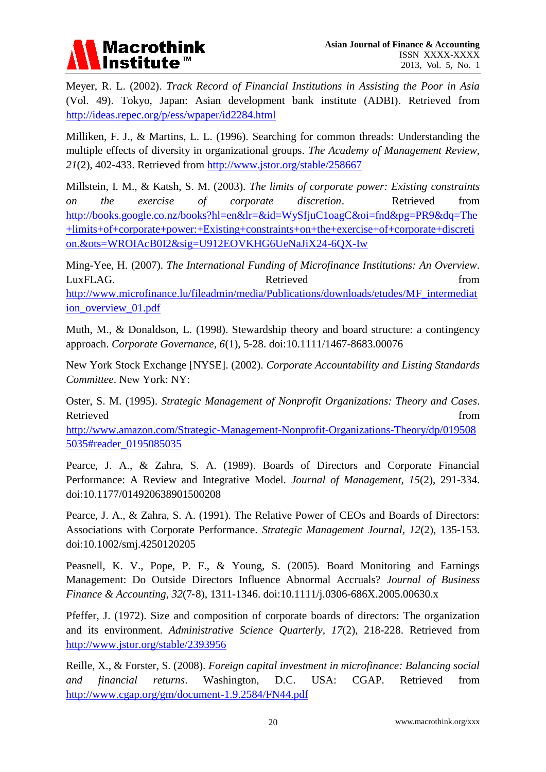

Meyer, R. L. (2002). *Track Record of Financial Institutions in Assisting the Poor in Asia* (Vol. 49). Tokyo, Japan: Asian development bank institute (ADBI). Retrieved from <http://ideas.repec.org/p/ess/wpaper/id2284.html>

Milliken, F. J., & Martins, L. L. (1996). Searching for common threads: Understanding the multiple effects of diversity in organizational groups. *The Academy of Management Review, 21*(2), 402-433. Retrieved from<http://www.jstor.org/stable/258667>

Millstein, I. M., & Katsh, S. M. (2003). *The limits of corporate power: Existing constraints on the exercise of corporate discretion*. Retrieved from [http://books.google.co.nz/books?hl=en&lr=&id=WySfjuC1oagC&oi=fnd&pg=PR9&dq=The](http://books.google.co.nz/books?hl=en&lr=&id=WySfjuC1oagC&oi=fnd&pg=PR9&dq=The+limits+of+corporate+power:+Existing+constraints+on+the+exercise+of+corporate+discretion.&ots=WROIAcB0I2&sig=U912EOVKHG6UeNaJiX24-6QX-Iw) [+limits+of+corporate+power:+Existing+constraints+on+the+exercise+of+corporate+discreti](http://books.google.co.nz/books?hl=en&lr=&id=WySfjuC1oagC&oi=fnd&pg=PR9&dq=The+limits+of+corporate+power:+Existing+constraints+on+the+exercise+of+corporate+discretion.&ots=WROIAcB0I2&sig=U912EOVKHG6UeNaJiX24-6QX-Iw) [on.&ots=WROIAcB0I2&sig=U912EOVKHG6UeNaJiX24-6QX-Iw](http://books.google.co.nz/books?hl=en&lr=&id=WySfjuC1oagC&oi=fnd&pg=PR9&dq=The+limits+of+corporate+power:+Existing+constraints+on+the+exercise+of+corporate+discretion.&ots=WROIAcB0I2&sig=U912EOVKHG6UeNaJiX24-6QX-Iw)

Ming-Yee, H. (2007). *The International Funding of Microfinance Institutions: An Overview*. LuxFLAG. **Retrieved** from [http://www.microfinance.lu/fileadmin/media/Publications/downloads/etudes/MF\\_intermediat](http://www.microfinance.lu/fileadmin/media/Publications/downloads/etudes/MF_intermediation_overview_01.pdf) [ion\\_overview\\_01.pdf](http://www.microfinance.lu/fileadmin/media/Publications/downloads/etudes/MF_intermediation_overview_01.pdf)

Muth, M., & Donaldson, L. (1998). Stewardship theory and board structure: a contingency approach. *Corporate Governance, 6*(1), 5-28. doi:10.1111/1467-8683.00076

New York Stock Exchange [NYSE]. (2002). *Corporate Accountability and Listing Standards Committee*. New York: NY:

Oster, S. M. (1995). *Strategic Management of Nonprofit Organizations: Theory and Cases*. Retrieved from the state of the state of the state of the state of the state of the state of the state of the state of the state of the state of the state of the state of the state of the state of the state of the state of

[http://www.amazon.com/Strategic-Management-Nonprofit-Organizations-Theory/dp/019508](http://www.amazon.com/Strategic-Management-Nonprofit-Organizations-Theory/dp/0195085035#reader_0195085035) [5035#reader\\_0195085035](http://www.amazon.com/Strategic-Management-Nonprofit-Organizations-Theory/dp/0195085035#reader_0195085035)

Pearce, J. A., & Zahra, S. A. (1989). Boards of Directors and Corporate Financial Performance: A Review and Integrative Model. *Journal of Management, 15*(2), 291-334. doi:10.1177/014920638901500208

Pearce, J. A., & Zahra, S. A. (1991). The Relative Power of CEOs and Boards of Directors: Associations with Corporate Performance. *Strategic Management Journal, 12*(2), 135-153. doi:10.1002/smj.4250120205

Peasnell, K. V., Pope, P. F., & Young, S. (2005). Board Monitoring and Earnings Management: Do Outside Directors Influence Abnormal Accruals? *Journal of Business Finance & Accounting, 32*(7‐8), 1311-1346. doi:10.1111/j.0306-686X.2005.00630.x

Pfeffer, J. (1972). Size and composition of corporate boards of directors: The organization and its environment. *Administrative Science Quarterly, 17*(2), 218-228. Retrieved from <http://www.jstor.org/stable/2393956>

Reille, X., & Forster, S. (2008). *Foreign capital investment in microfinance: Balancing social and financial returns*. Washington, D.C. USA: CGAP. Retrieved from <http://www.cgap.org/gm/document-1.9.2584/FN44.pdf>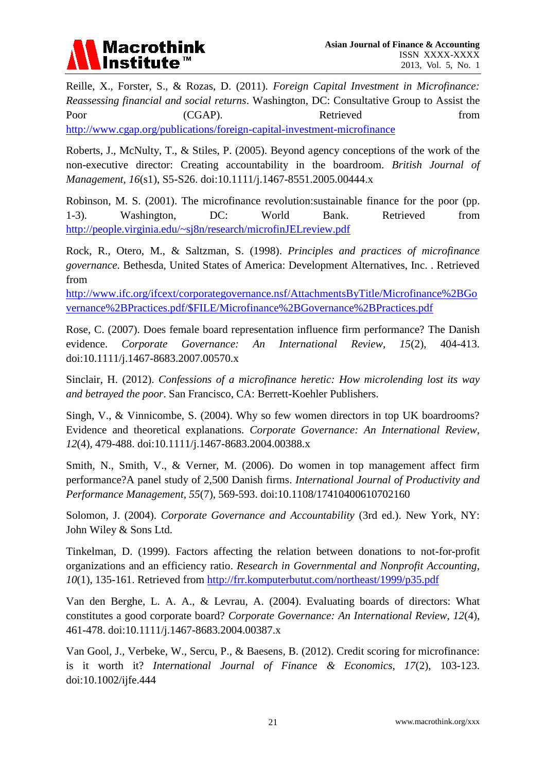

Reille, X., Forster, S., & Rozas, D. (2011). *Foreign Capital Investment in Microfinance: Reassessing financial and social returns*. Washington, DC: Consultative Group to Assist the Poor (CGAP). Retrieved from <http://www.cgap.org/publications/foreign-capital-investment-microfinance>

Roberts, J., McNulty, T., & Stiles, P. (2005). Beyond agency conceptions of the work of the non-executive director: Creating accountability in the boardroom. *British Journal of Management, 16*(s1), S5-S26. doi:10.1111/j.1467-8551.2005.00444.x

Robinson, M. S. (2001). The microfinance revolution:sustainable finance for the poor (pp. 1-3). Washington, DC: World Bank. Retrieved from <http://people.virginia.edu/~sj8n/research/microfinJELreview.pdf>

Rock, R., Otero, M., & Saltzman, S. (1998). *Principles and practices of microfinance governance*. Bethesda, United States of America: Development Alternatives, Inc. . Retrieved from

[http://www.ifc.org/ifcext/corporategovernance.nsf/AttachmentsByTitle/Microfinance%2BGo](http://www.ifc.org/ifcext/corporategovernance.nsf/AttachmentsByTitle/Microfinance%2BGovernance%2BPractices.pdf/$FILE/Microfinance%2BGovernance%2BPractices.pdf) [vernance%2BPractices.pdf/\\$FILE/Microfinance%2BGovernance%2BPractices.pdf](http://www.ifc.org/ifcext/corporategovernance.nsf/AttachmentsByTitle/Microfinance%2BGovernance%2BPractices.pdf/$FILE/Microfinance%2BGovernance%2BPractices.pdf)

Rose, C. (2007). Does female board representation influence firm performance? The Danish evidence. *Corporate Governance: An International Review, 15*(2), 404-413. doi:10.1111/j.1467-8683.2007.00570.x

Sinclair, H. (2012). *Confessions of a microfinance heretic: How microlending lost its way and betrayed the poor*. San Francisco, CA: Berrett-Koehler Publishers.

Singh, V., & Vinnicombe, S. (2004). Why so few women directors in top UK boardrooms? Evidence and theoretical explanations. *Corporate Governance: An International Review, 12*(4), 479-488. doi:10.1111/j.1467-8683.2004.00388.x

Smith, N., Smith, V., & Verner, M. (2006). Do women in top management affect firm performance?A panel study of 2,500 Danish firms. *International Journal of Productivity and Performance Management, 55*(7), 569-593. doi:10.1108/17410400610702160

Solomon, J. (2004). *Corporate Governance and Accountability* (3rd ed.). New York, NY: John Wiley & Sons Ltd.

Tinkelman, D. (1999). Factors affecting the relation between donations to not-for-profit organizations and an efficiency ratio. *Research in Governmental and Nonprofit Accounting, 10*(1), 135-161. Retrieved from<http://frr.komputerbutut.com/northeast/1999/p35.pdf>

Van den Berghe, L. A. A., & Levrau, A. (2004). Evaluating boards of directors: What constitutes a good corporate board? *Corporate Governance: An International Review, 12*(4), 461-478. doi:10.1111/j.1467-8683.2004.00387.x

Van Gool, J., Verbeke, W., Sercu, P., & Baesens, B. (2012). Credit scoring for microfinance: is it worth it? *International Journal of Finance & Economics, 17*(2), 103-123. doi:10.1002/ijfe.444